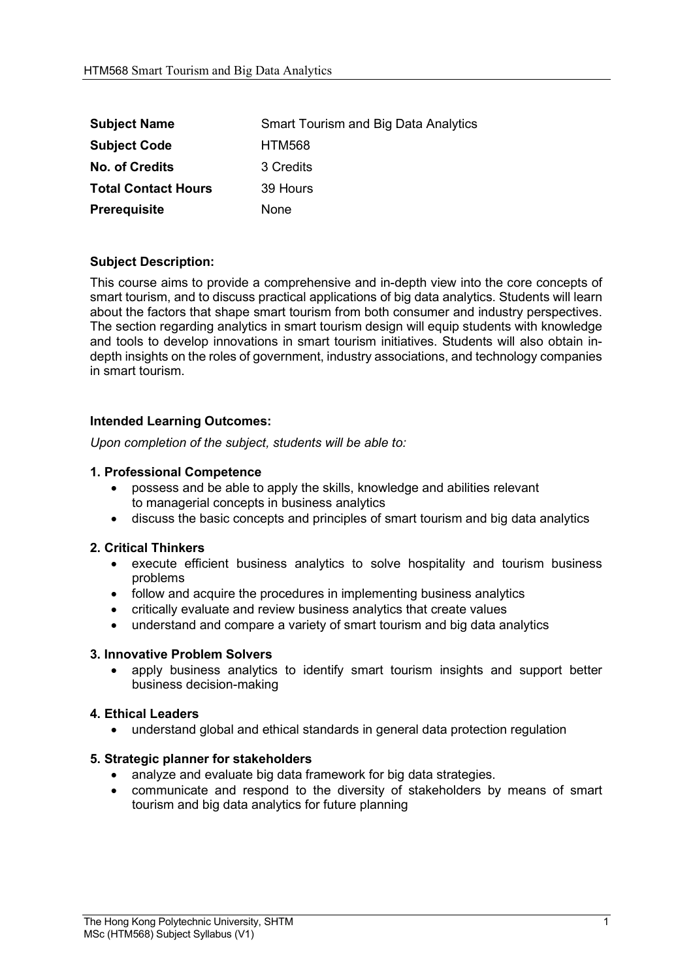| <b>Subject Name</b>        | <b>Smart Tourism and Big Data Analytics</b> |
|----------------------------|---------------------------------------------|
| <b>Subject Code</b>        | <b>HTM568</b>                               |
| <b>No. of Credits</b>      | 3 Credits                                   |
| <b>Total Contact Hours</b> | 39 Hours                                    |
| <b>Prerequisite</b>        | None                                        |

## Subject Description:

This course aims to provide a comprehensive and in-depth view into the core concepts of smart tourism, and to discuss practical applications of big data analytics. Students will learn about the factors that shape smart tourism from both consumer and industry perspectives. The section regarding analytics in smart tourism design will equip students with knowledge and tools to develop innovations in smart tourism initiatives. Students will also obtain indepth insights on the roles of government, industry associations, and technology companies in smart tourism.

## Intended Learning Outcomes:

Upon completion of the subject, students will be able to:

### 1. Professional Competence

- possess and be able to apply the skills, knowledge and abilities relevant to managerial concepts in business analytics
- discuss the basic concepts and principles of smart tourism and big data analytics

## 2. Critical Thinkers

- execute efficient business analytics to solve hospitality and tourism business problems
- follow and acquire the procedures in implementing business analytics
- critically evaluate and review business analytics that create values
- understand and compare a variety of smart tourism and big data analytics

#### 3. Innovative Problem Solvers

 apply business analytics to identify smart tourism insights and support better business decision-making

## 4. Ethical Leaders

understand global and ethical standards in general data protection regulation

## 5. Strategic planner for stakeholders

- analyze and evaluate big data framework for big data strategies.
- communicate and respond to the diversity of stakeholders by means of smart tourism and big data analytics for future planning